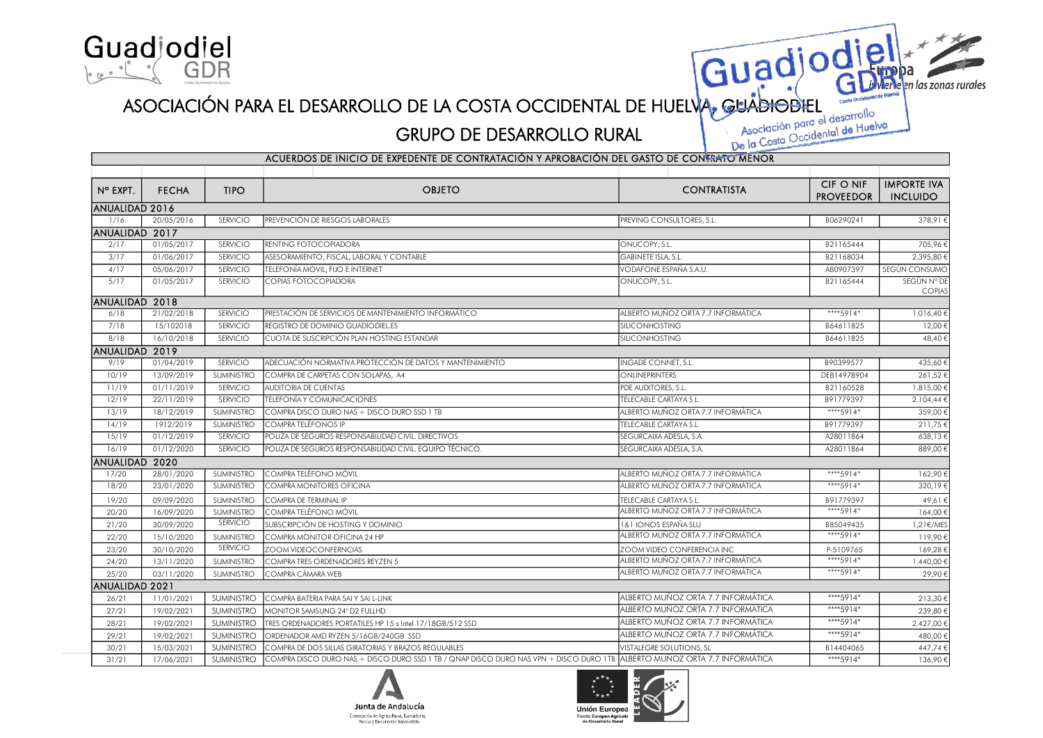

## ASOCIACIÓN PARA EL DESARROLLO DE LA COSTA OCCIDENTAL DE HUELVA, GUADIODIEL CONTROLLO RURAL Asociación para el desarrollo<br>GRUPO DE DESARROLLO RURAL Asociación para el desarrollo

## GRUPO DE DESARROLLO RURAL

n las zonas rurales

Guadjodie

| ACUERDOS DE INICIO DE EXPEDENTE DE CONTRATACIÓN Y APROBACIÓN DEL GASTO DE CONFRATO MENOR |              |                   |                                                                                                                           |                                    |                  |                    |  |  |  |  |  |
|------------------------------------------------------------------------------------------|--------------|-------------------|---------------------------------------------------------------------------------------------------------------------------|------------------------------------|------------------|--------------------|--|--|--|--|--|
|                                                                                          |              |                   |                                                                                                                           |                                    |                  |                    |  |  |  |  |  |
| N° EXPT.                                                                                 | <b>FECHA</b> | <b>TIPO</b>       | <b>OBJETO</b>                                                                                                             | <b>CONTRATISTA</b>                 | CIF O NIF        | <b>IMPORTE IVA</b> |  |  |  |  |  |
|                                                                                          |              |                   |                                                                                                                           |                                    | <b>PROVEEDOR</b> | <b>INCLUIDO</b>    |  |  |  |  |  |
| ANUALIDAD 2016                                                                           |              |                   |                                                                                                                           |                                    |                  |                    |  |  |  |  |  |
| 1/16                                                                                     | 20/05/2016   | SERVICIO          | PREVENCIÓN DE RIESGOS LABORALES                                                                                           | PREVING CONSULTORES, S.L.          | B06290241        | 378,91€            |  |  |  |  |  |
| ANUALIDAD 2017                                                                           |              |                   |                                                                                                                           |                                    |                  |                    |  |  |  |  |  |
| 2/17                                                                                     | 01/05/2017   | SERVICIO          | RENTING FOTOCOPIADORA                                                                                                     | ONUCOPY, S.L.                      | B21165444        | 705,96€            |  |  |  |  |  |
| 3/17                                                                                     | 01/06/2017   | SERVICIO          | ASESORAMIENTO, FISCAL, LABORAL Y CONTABLE                                                                                 | <b>GABINETE ISLA, S.L.</b>         | B21168034        | 2.395,80€          |  |  |  |  |  |
| 4/17                                                                                     | 05/06/2017   | SERVICIO          | TELEFONÍA MOVIL, FIJO E INTERNET                                                                                          | vodafone españa s.a.u.             | A80907397        | SEGÚN CONSUMO      |  |  |  |  |  |
| 5/17                                                                                     | 01/05/2017   | SERVICIO          | COPIAS FOTOCOPIADORA                                                                                                      | ONUCOPY, S.L.                      | B21165444        | SEGÚN N° DE        |  |  |  |  |  |
| ANUALIDAD 2018                                                                           |              |                   |                                                                                                                           |                                    |                  | <b>COPIAS</b>      |  |  |  |  |  |
| 6/18                                                                                     | 21/02/2018   | SERVICIO          | PRESTACIÓN DE SERVICIOS DE MANTENIMIENTO INFORMÁTICO                                                                      | ALBERTO MUÑOZ ORTA 7.7 INFORMÁTICA | ****5914*        | 1.016,40€          |  |  |  |  |  |
| 7/18                                                                                     | 15/102018    | SERVICIO          | REGISTRO DE DOMINIO GUADIODIEL.ES                                                                                         | SILICONHOSTING                     | B64611825        | 12,00€             |  |  |  |  |  |
| 8/18                                                                                     | 16/10/2018   | SERVICIO          | CUOTA DE SUSCRIPCIÓN PLAN HOSTING ESTANDAR                                                                                | SILICONHOSTING                     | B64611825        | 48,40€             |  |  |  |  |  |
| ANUALIDAD 2019                                                                           |              |                   |                                                                                                                           |                                    |                  |                    |  |  |  |  |  |
| 9/19                                                                                     | 01/04/2019   | SERVICIO          | ADECUACIÓN NORMATIVA PROTECCIÓN DE DATOS Y MANTENIMIENTO                                                                  | INGADE CONNET, S.L.                | B90399577        | 435,60€            |  |  |  |  |  |
| 10/19                                                                                    | 13/09/2019   | SUMINISTRO        | COMPRA DE CARPETAS CON SOLAPAS, A4                                                                                        | ONLINEPRINTERS                     | DE814978904      | 261,52€            |  |  |  |  |  |
| 11/19                                                                                    | 01/11/2019   | SERVICIO          | <b>AUDITORIA DE CUENTAS</b>                                                                                               | PDE AUDITORES, S.L.                | B21160528        | 1.815,00€          |  |  |  |  |  |
| 12/19                                                                                    | 22/11/2019   | <b>SERVICIO</b>   | TELEFONÍA Y COMUNICACIONES                                                                                                | TELECABLE CARTAYA S.L.             | B91779397        | 2.104,44€          |  |  |  |  |  |
| 13/19                                                                                    | 18/12/2019   | <b>SUMINISTRO</b> | COMPRA DISCO DURO NAS + DISCO DURO SSD 1 TB                                                                               | ALBERTO MUÑOZ ORTA 7.7 INFORMÁTICA | ****5914*        | 359,00€            |  |  |  |  |  |
| 14/19                                                                                    | 1912/2019    | <b>SUMINISTRO</b> | COMPRA TELÉFONOS IP                                                                                                       | TELECABLE CARTAYA S.L.             | B91779397        | 211,75€            |  |  |  |  |  |
| 15/19                                                                                    | 01/12/2019   | SERVICIO          | POLIZA DE SEGUROS RESPONSABILIDAD CIVIL. DIRECTIVOS                                                                       | SEGURCAIXA ADESLA, S.A.            | A28011864        | 638,13€            |  |  |  |  |  |
| 16/19                                                                                    | 01/12/2020   | SERVICIO          | POLIZA DE SEGUROS RESPONSABILIDAD CIVIL. EQUIPO TÉCNICO.                                                                  | SEGURCAIXA ADESLA, S.A.            | A28011864        | 889,00€            |  |  |  |  |  |
| ANUALIDAD 2020                                                                           |              |                   |                                                                                                                           |                                    |                  |                    |  |  |  |  |  |
| 17/20                                                                                    | 28/01/2020   | <b>SUMINISTRO</b> | COMPRA TELÉFONO MÓVIL                                                                                                     | ALBERTO MUÑOZ ORTA 7.7 INFORMÁTICA | ****5914*        | 162,90€            |  |  |  |  |  |
| 18/20                                                                                    | 23/01/2020   | <b>SUMINISTRO</b> | COMPRA MONITORES OFICINA                                                                                                  | ALBERTO MUÑOZ ORTA 7.7 INFORMÁTICA | ****5914*        | 320,19€            |  |  |  |  |  |
| 19/20                                                                                    | 09/09/2020   | SUMINISTRO        | COMPRA DE TERMINAL IP                                                                                                     | TELECABLE CARTAYA S.L.             | B91779397        | 49,61€             |  |  |  |  |  |
| 20/20                                                                                    | 16/09/2020   | <b>SUMINISTRO</b> | COMPRA TELÉFONO MÓVIL                                                                                                     | ALBERTO MUÑOZ ORTA 7.7 INFORMÁTICA | ****5914*        | 164,00€            |  |  |  |  |  |
| 21/20                                                                                    | 30/09/2020   | <b>SERVICIO</b>   | SUBSCRIPCIÓN DE HOSTING Y DOMINIO                                                                                         | 1&1 IONOS ESPAÑA SLU               | B85049435        | 1,21€/MES          |  |  |  |  |  |
| 22/20                                                                                    | 15/10/2020   | SUMINISTRO        | COMPRA MONITOR OFICINA 24 HP                                                                                              | ALBERTO MUÑOZ ORTA 7.7 INFORMÁTICA | ****5914*        | 119,90€            |  |  |  |  |  |
| 23/20                                                                                    | 30/10/2020   | SERVICIO          | ZOOM VIDEOCONFERNCIAS                                                                                                     | ZOOM VIDEO CONFERENCIA INC         | P-5109765        | 169,28€            |  |  |  |  |  |
| 24/20                                                                                    | 13/11/2020   | <b>SUMINISTRO</b> | COMPRA TRES ORDENADORES REYZEN 5                                                                                          | ALBERTO MUÑOZ ORTA 7.7 INFORMÁTICA | ****5914*        | 1.440,00€          |  |  |  |  |  |
| 25/20                                                                                    | 03/11/2020   | SUMINISTRO        | COMPRA CÁMARA WEB                                                                                                         | ALBERTO MUÑOZ ORTA 7.7 INFORMÁTICA | ****5914*        | 29,90€             |  |  |  |  |  |
| ANUALIDAD 2021                                                                           |              |                   |                                                                                                                           |                                    |                  |                    |  |  |  |  |  |
| 26/21                                                                                    | 11/01/2021   | <b>SUMINISTRO</b> | COMPRA BATERIA PARA SAI Y SAI L-LINK                                                                                      | ALBERTO MUÑOZ ORTA 7.7 INFORMÁTICA | ****5914*        | 213,30€            |  |  |  |  |  |
| 27/21                                                                                    | 19/02/2021   | SUMINISTRO        | MONITOR SAMSUNG 24" D2 FULLHD                                                                                             | ALBERTO MUÑOZ ORTA 7.7 INFORMÁTICA | ****5914*        | 239,80€            |  |  |  |  |  |
| 28/21                                                                                    | 19/02/2021   | <b>SUMINISTRO</b> | TRES ORDENADORES PORTATILES HP 15 s Intel 17/18GB/512 SSD                                                                 | ALBERTO MUÑOZ ORTA 7.7 INFORMÁTICA | ****5914*        | 2.427,00 €         |  |  |  |  |  |
| 29/21                                                                                    | 19/02/2021   | <b>SUMINISTRO</b> | ORDENADOR AMD RYZEN 5/16GB/240GB SSD                                                                                      | ALBERTO MUÑOZ ORTA 7.7 INFORMÁTICA | ****5914*        | 480,00€            |  |  |  |  |  |
| 30/21                                                                                    | 15/03/2021   | <b>SUMINISTRO</b> | COMPRA DE DOS SILLAS GIRATORIAS Y BRAZOS REGULABLES                                                                       | <b>VISTALEGRE SOLUTIONS, SL</b>    | B14404065        | 447,74€            |  |  |  |  |  |
| 31/21                                                                                    | 17/06/2021   | <b>SUMINISTRO</b> | COMPRA DISCO DURO NAS + DISCO DURO SSD 1 TB / QNAP DISCO DURO NAS VPN + DISCO DURO 1TB ALBERTO MUÑOZ ORTA 7.7 INFORMÁTICA |                                    | ****5914*        | 136,90€            |  |  |  |  |  |